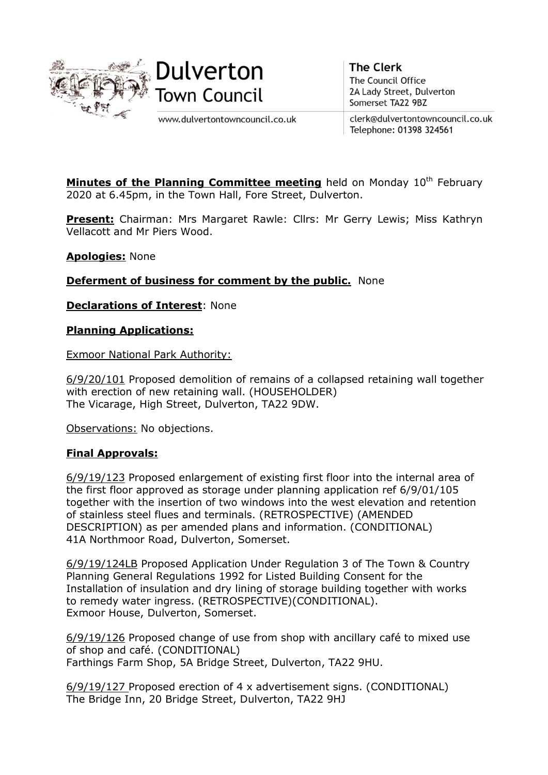



www.dulvertontowncouncil.co.uk

**The Clerk** The Council Office 2A Lady Street, Dulverton Somerset TA22 9BZ

clerk@dulvertontowncouncil.co.uk Telephone: 01398 324561

**Minutes of the Planning Committee meeting** held on Monday  $10<sup>th</sup>$  February 2020 at 6.45pm, in the Town Hall, Fore Street, Dulverton.

Present: Chairman: Mrs Margaret Rawle: Cllrs: Mr Gerry Lewis; Miss Kathryn Vellacott and Mr Piers Wood.

Apologies: None

Deferment of business for comment by the public. None

**Declarations of Interest: None** 

Planning Applications:

Exmoor National Park Authority:

6/9/20/101 Proposed demolition of remains of a collapsed retaining wall together with erection of new retaining wall. (HOUSEHOLDER) The Vicarage, High Street, Dulverton, TA22 9DW.

Observations: No objections.

## Final Approvals:

6/9/19/123 Proposed enlargement of existing first floor into the internal area of the first floor approved as storage under planning application ref 6/9/01/105 together with the insertion of two windows into the west elevation and retention of stainless steel flues and terminals. (RETROSPECTIVE) (AMENDED DESCRIPTION) as per amended plans and information. (CONDITIONAL) 41A Northmoor Road, Dulverton, Somerset.

6/9/19/124LB Proposed Application Under Regulation 3 of The Town & Country Planning General Regulations 1992 for Listed Building Consent for the Installation of insulation and dry lining of storage building together with works to remedy water ingress. (RETROSPECTIVE)(CONDITIONAL). Exmoor House, Dulverton, Somerset.

6/9/19/126 Proposed change of use from shop with ancillary café to mixed use of shop and café. (CONDITIONAL) Farthings Farm Shop, 5A Bridge Street, Dulverton, TA22 9HU.

6/9/19/127 Proposed erection of 4 x advertisement signs. (CONDITIONAL) The Bridge Inn, 20 Bridge Street, Dulverton, TA22 9HJ